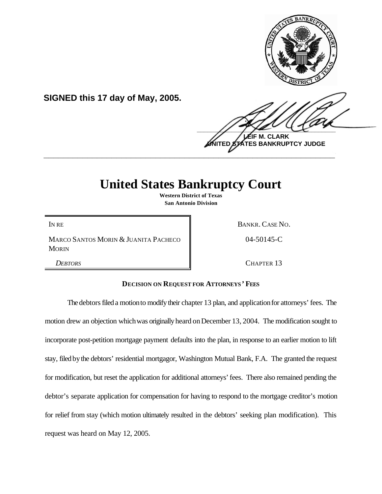

**SIGNED this 17 day of May, 2005.**

 $\frac{1}{2}$ **M. CLARK TES BANKRUPTCY JUDGE \_\_\_\_\_\_\_\_\_\_\_\_\_\_\_\_\_\_\_\_\_\_\_\_\_\_\_\_\_\_\_\_\_\_\_\_\_\_\_\_\_\_\_\_\_\_\_\_\_\_\_\_\_\_\_\_\_\_\_\_**

## **United States Bankruptcy Court**

**Western District of Texas San Antonio Division**

IN RE BANKR. CASE NO.

MARCO SANTOS MORIN & JUANITA PACHECO **MORIN** 

04-50145-C

*DEBTORS* CHAPTER 13

## **DECISION ON REQUEST FOR ATTORNEYS ' FEES**

The debtors filed a motion to modify their chapter 13 plan, and application for attorneys' fees. The motion drew an objection which was originally heard on December 13, 2004. The modification sought to incorporate post-petition mortgage payment defaults into the plan, in response to an earlier motion to lift stay, filed bythe debtors' residential mortgagor, Washington Mutual Bank, F.A. The granted the request for modification, but reset the application for additional attorneys' fees. There also remained pending the debtor's separate application for compensation for having to respond to the mortgage creditor's motion for relief from stay (which motion ultimately resulted in the debtors' seeking plan modification). This request was heard on May 12, 2005.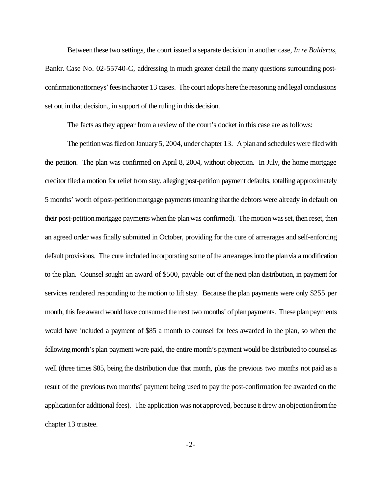Betweenthese two settings, the court issued a separate decision in another case, *In re Balderas*, Bankr. Case No. 02-55740-C, addressing in much greater detail the many questions surrounding postconfirmationattorneys'feesinchapter 13 cases. The court adopts here the reasoning and legal conclusions set out in that decision., in support of the ruling in this decision.

The facts as they appear from a review of the court's docket in this case are as follows:

The petition was filed on January 5, 2004, under chapter 13. A plan and schedules were filed with the petition. The plan was confirmed on April 8, 2004, without objection. In July, the home mortgage creditor filed a motion for relief from stay, alleging post-petition payment defaults, totalling approximately 5 months' worth of post-petition mortgage payments (meaning that the debtors were already in default on their post-petitionmortgage payments whenthe planwas confirmed). The motion was set, then reset, then an agreed order was finally submitted in October, providing for the cure of arrearages and self-enforcing default provisions. The cure included incorporating some of the arrearages into the plan via a modification to the plan. Counsel sought an award of \$500, payable out of the next plan distribution, in payment for services rendered responding to the motion to lift stay. Because the plan payments were only \$255 per month, this fee award would have consumed the next two months' of plan payments. These plan payments would have included a payment of \$85 a month to counsel for fees awarded in the plan, so when the following month's plan payment were paid, the entire month's payment would be distributed to counsel as well (three times \$85, being the distribution due that month, plus the previous two months not paid as a result of the previous two months' payment being used to pay the post-confirmation fee awarded on the application for additional fees). The application was not approved, because it drew an objection from the chapter 13 trustee.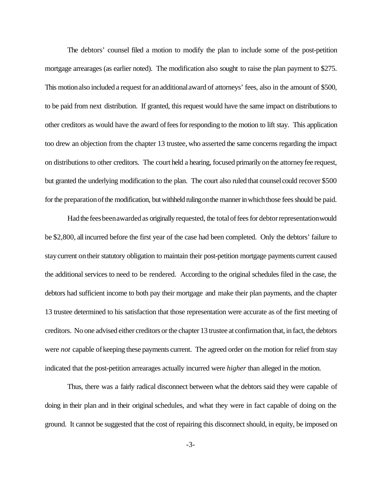The debtors' counsel filed a motion to modify the plan to include some of the post-petition mortgage arrearages (as earlier noted). The modification also sought to raise the plan payment to \$275. This motionalso included a request for anadditionalaward of attorneys' fees, also in the amount of \$500, to be paid from next distribution. If granted, this request would have the same impact on distributions to other creditors as would have the award offeesforresponding to the motion to lift stay. This application too drew an objection from the chapter 13 trustee, who asserted the same concerns regarding the impact on distributions to other creditors. The court held a hearing, focused primarily onthe attorneyfee request, but granted the underlying modification to the plan. The court also ruled that counsel could recover \$500 for the preparation of the modification, but withheld ruling on the manner in which those fees should be paid.

Had the fees been awarded as originally requested, the total of fees for debtor representation would be \$2,800, allincurred before the first year of the case had been completed. Only the debtors' failure to stay current on their statutory obligation to maintain their post-petition mortgage payments current caused the additional services to need to be rendered. According to the original schedules filed in the case, the debtors had sufficient income to both pay their mortgage and make their plan payments, and the chapter 13 trustee determined to his satisfaction that those representation were accurate as of the first meeting of creditors. No one advised either creditors or the chapter 13 trustee at confirmation that, in fact, the debtors were *not* capable of keeping these payments current. The agreed order on the motion for relief from stay indicated that the post-petition arrearages actually incurred were *higher* than alleged in the motion.

Thus, there was a fairly radical disconnect between what the debtors said they were capable of doing in their plan and in their original schedules, and what they were in fact capable of doing on the ground. It cannot be suggested that the cost of repairing this disconnect should, in equity, be imposed on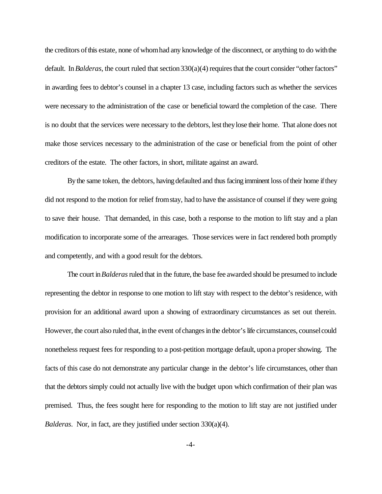the creditors ofthis estate, none ofwhomhad any knowledge of the disconnect, or anything to do withthe default. In *Balderas*, the court ruled that section 330(a)(4) requires that the court consider "other factors" in awarding fees to debtor's counsel in a chapter 13 case, including factors such as whether the services were necessary to the administration of the case or beneficial toward the completion of the case. There is no doubt that the services were necessary to the debtors, lest theylose their home. That alone does not make those services necessary to the administration of the case or beneficial from the point of other creditors of the estate. The other factors, in short, militate against an award.

By the same token, the debtors, having defaulted and thus facing imminent loss of their home if they did not respond to the motion for relief fromstay, had to have the assistance of counsel if they were going to save their house. That demanded, in this case, both a response to the motion to lift stay and a plan modification to incorporate some of the arrearages. Those services were in fact rendered both promptly and competently, and with a good result for the debtors.

The court in*Balderas*ruled that in the future, the base fee awarded should be presumed to include representing the debtor in response to one motion to lift stay with respect to the debtor's residence, with provision for an additional award upon a showing of extraordinary circumstances as set out therein. However, the court also ruled that, in the event of changes in the debtor's life circumstances, counsel could nonetheless request fees for responding to a post-petition mortgage default, upona propershowing. The facts of this case do not demonstrate any particular change in the debtor's life circumstances, other than that the debtors simply could not actually live with the budget upon which confirmation of their plan was premised. Thus, the fees sought here for responding to the motion to lift stay are not justified under *Balderas*. Nor, in fact, are they justified under section 330(a)(4).